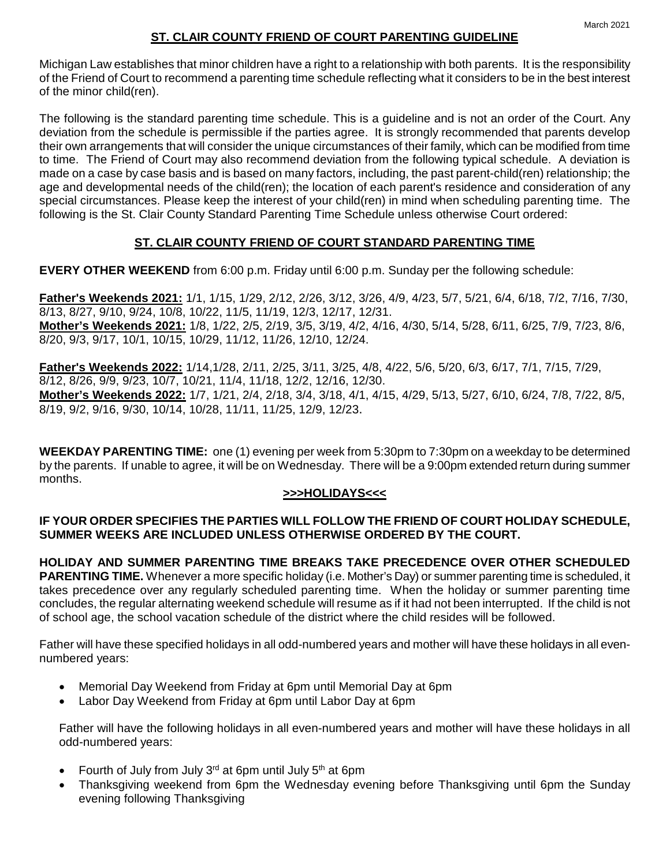The following is the standard parenting time schedule. This is a guideline and is not an order of the Court. Any deviation from the schedule is permissible if the parties agree. It is strongly recommended that parents develop their own arrangements that will consider the unique circumstances of their family, which can be modified from time to time. The Friend of Court may also recommend deviation from the following typical schedule. A deviation is made on a case by case basis and is based on many factors, including, the past parent-child(ren) relationship; the age and developmental needs of the child(ren); the location of each parent's residence and consideration of any special circumstances. Please keep the interest of your child(ren) in mind when scheduling parenting time. The following is the St. Clair County Standard Parenting Time Schedule unless otherwise Court ordered:

## **ST. CLAIR COUNTY FRIEND OF COURT STANDARD PARENTING TIME**

**EVERY OTHER WEEKEND** from 6:00 p.m. Friday until 6:00 p.m. Sunday per the following schedule:

**Father's Weekends 2021:** 1/1, 1/15, 1/29, 2/12, 2/26, 3/12, 3/26, 4/9, 4/23, 5/7, 5/21, 6/4, 6/18, 7/2, 7/16, 7/30, 8/13, 8/27, 9/10, 9/24, 10/8, 10/22, 11/5, 11/19, 12/3, 12/17, 12/31. **Mother's Weekends 2021:** 1/8, 1/22, 2/5, 2/19, 3/5, 3/19, 4/2, 4/16, 4/30, 5/14, 5/28, 6/11, 6/25, 7/9, 7/23, 8/6, 8/20, 9/3, 9/17, 10/1, 10/15, 10/29, 11/12, 11/26, 12/10, 12/24.

**Father's Weekends 2022:** 1/14,1/28, 2/11, 2/25, 3/11, 3/25, 4/8, 4/22, 5/6, 5/20, 6/3, 6/17, 7/1, 7/15, 7/29, 8/12, 8/26, 9/9, 9/23, 10/7, 10/21, 11/4, 11/18, 12/2, 12/16, 12/30. **Mother's Weekends 2022:** 1/7, 1/21, 2/4, 2/18, 3/4, 3/18, 4/1, 4/15, 4/29, 5/13, 5/27, 6/10, 6/24, 7/8, 7/22, 8/5, 8/19, 9/2, 9/16, 9/30, 10/14, 10/28, 11/11, 11/25, 12/9, 12/23.

**WEEKDAY PARENTING TIME:** one (1) evening per week from 5:30pm to 7:30pm on a weekday to be determined by the parents. If unable to agree, it will be on Wednesday. There will be a 9:00pm extended return during summer months.

## **>>>HOLIDAYS<<<**

## **IF YOUR ORDER SPECIFIES THE PARTIES WILL FOLLOW THE FRIEND OF COURT HOLIDAY SCHEDULE, SUMMER WEEKS ARE INCLUDED UNLESS OTHERWISE ORDERED BY THE COURT.**

**HOLIDAY AND SUMMER PARENTING TIME BREAKS TAKE PRECEDENCE OVER OTHER SCHEDULED PARENTING TIME.** Whenever a more specific holiday (i.e. Mother's Day) or summer parenting time is scheduled, it takes precedence over any regularly scheduled parenting time. When the holiday or summer parenting time concludes, the regular alternating weekend schedule will resume as if it had not been interrupted. If the child is not of school age, the school vacation schedule of the district where the child resides will be followed.

Father will have these specified holidays in all odd-numbered years and mother will have these holidays in all evennumbered years:

- Memorial Day Weekend from Friday at 6pm until Memorial Day at 6pm
- Labor Day Weekend from Friday at 6pm until Labor Day at 6pm

Father will have the following holidays in all even-numbered years and mother will have these holidays in all odd-numbered years:

- Fourth of July from July 3rd at 6pm until July 5th at 6pm
- Thanksgiving weekend from 6pm the Wednesday evening before Thanksgiving until 6pm the Sunday evening following Thanksgiving